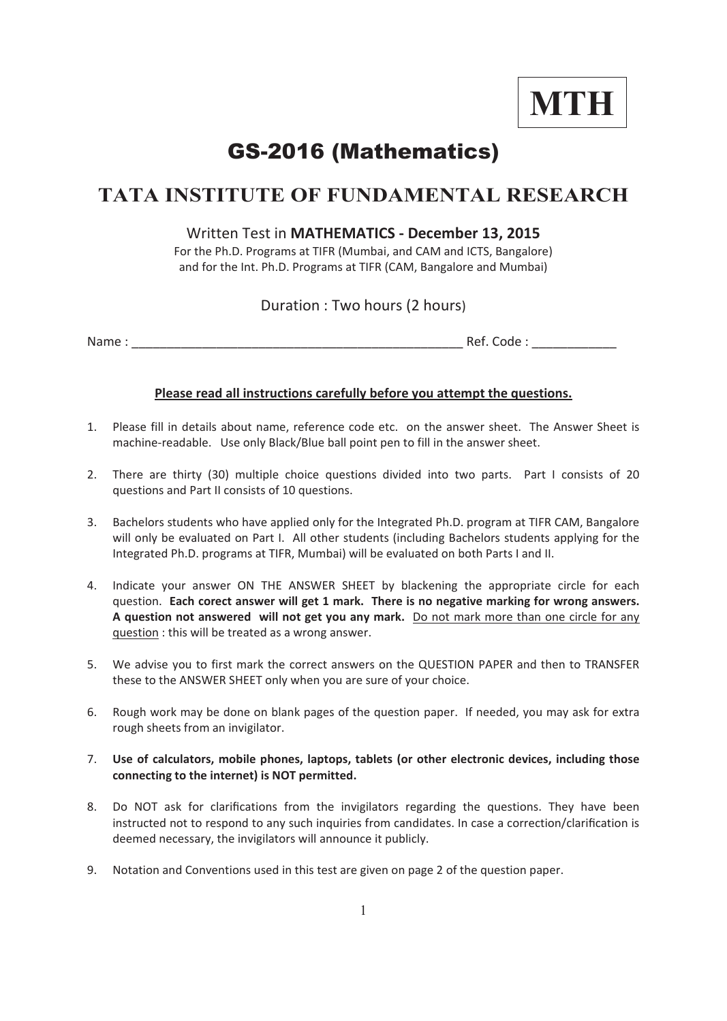**MTH**

# GS-2016 (Mathematics)

## **TATA INSTITUTE OF FUNDAMENTAL RESEARCH**

### Written Test in **MATHEMATICSͲDecember 13, 2015**

For the Ph.D. Programs at TIFR (Mumbai, and CAM and ICTS, Bangalore) and for the Int. Ph.D. Programs at TIFR (CAM, Bangalore and Mumbai)

### Duration : Two hours (2 hours)

Name : \_\_\_\_\_\_\_\_\_\_\_\_\_\_\_\_\_\_\_\_\_\_\_\_\_\_\_\_\_\_\_\_\_\_\_\_\_\_\_\_\_\_\_\_\_\_\_ Ref. Code : \_\_\_\_\_\_\_\_\_\_\_\_

#### **Please read all instructions carefully before you attempt the questions.**

- 1. Please fill in details about name, reference code etc. on the answer sheet. The Answer Sheet is machine-readable. Use only Black/Blue ball point pen to fill in the answer sheet.
- 2. There are thirty (30) multiple choice questions divided into two parts. Part I consists of 20 questions and Part II consists of 10 questions.
- 3. Bachelors students who have applied only for the Integrated Ph.D. program at TIFR CAM, Bangalore will only be evaluated on Part I. All other students (including Bachelors students applying for the Integrated Ph.D. programs at TIFR, Mumbai) will be evaluated on both Parts I and II.
- 4. Indicate your answer ON THE ANSWER SHEET by blackening the appropriate circle for each question.**Each corect answer will get 1 mark.There is no negative marking for wrong answers. A question not answeredwill not get you any mark.**Do not mark more than one circle for any question : this will be treated as a wrong answer.
- 5. We advise you to first mark the correct answers on the QUESTION PAPER and then to TRANSFER these to the ANSWER SHEET only when you are sure of your choice.
- 6. Rough work may be done on blank pages of the question paper. If needed, you may ask for extra rough sheets from an invigilator.
- 7. **Use of calculators, mobile phones, laptops, tablets (or other electronic devices, including those connecting to the internet) is NOT permitted.**
- 8. Do NOT ask for clarifications from the invigilators regarding the questions. They have been instructed not to respond to any such inquiries from candidates. In case a correction/clarification is deemed necessary, the invigilators will announce it publicly.
- 9. Notation and Conventions used in this test are given on page 2 of the question paper.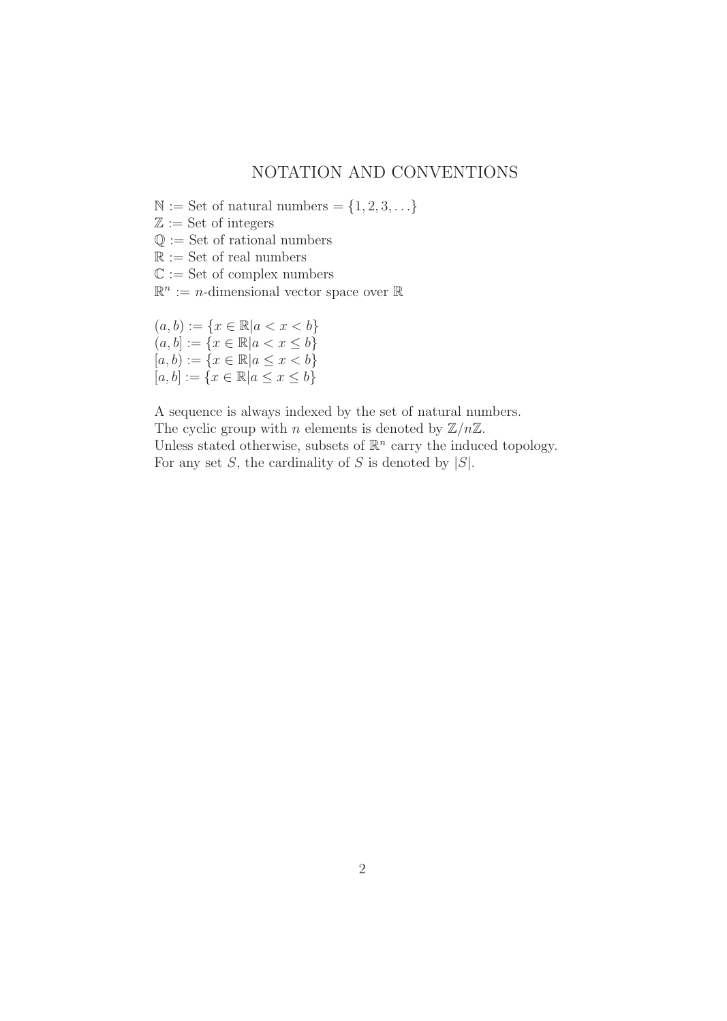### NOTATION AND CONVENTIONS

 $\mathbb{N} :=$  Set of natural numbers =  $\{1, 2, 3, \ldots\}$  $\mathbb{Z} :=$  Set of integers  $\mathbb{Q} :=$  Set of rational numbers  $\mathbb{R}:=$  Set of real numbers  $\mathbb{C} :=$  Set of complex numbers  $\mathbb{R}^n := n$ -dimensional vector space over  $\mathbb{R}$ 

 $(a, b) := \{x \in \mathbb{R} | a < x < b\}$  $(a, b] := \{x \in \mathbb{R} | a < x \leq b\}$  $[a, b) := \{x \in \mathbb{R} | a \leq x < b\}$  $[a, b] := \{x \in \mathbb{R} | a \le x \le b\}$ 

A sequence is always indexed by the set of natural numbers. The cyclic group with *n* elements is denoted by  $\mathbb{Z}/n\mathbb{Z}$ . Unless stated otherwise, subsets of  $\mathbb{R}^n$  carry the induced topology. For any set S, the cardinality of S is denoted by  $|S|$ .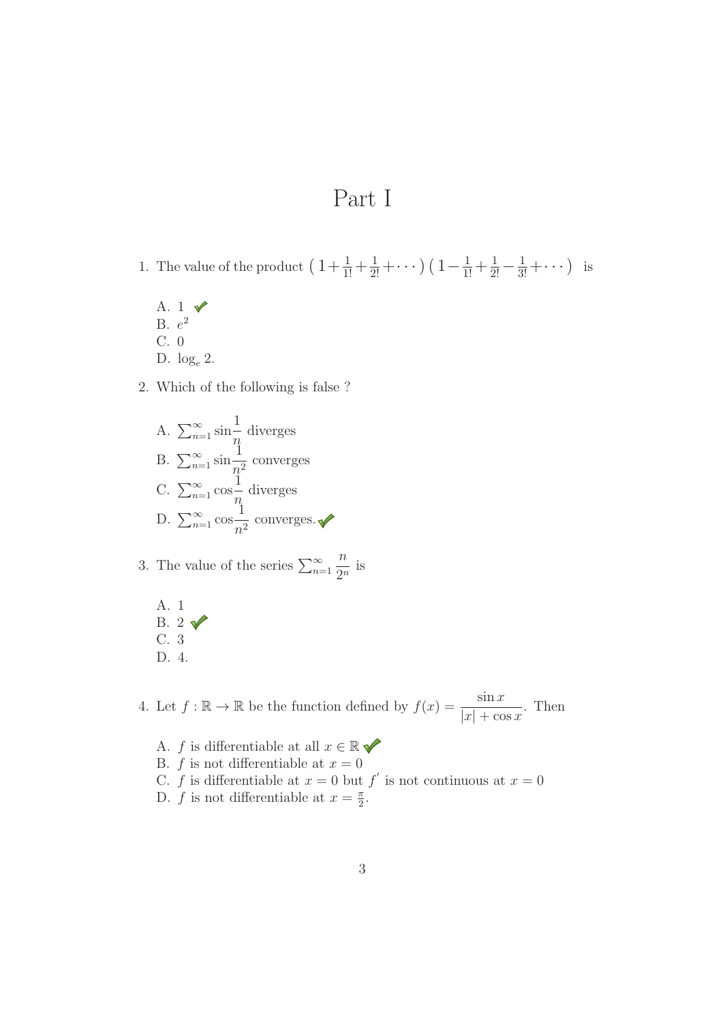## Part I

- 1. The value of the product  $(1 + \frac{1}{1!} + \frac{1}{2!} + \cdots)(1 \frac{1}{1!} + \frac{1}{2!} \frac{1}{3!} + \cdots)$  is
	- A. 1 B.  $e^2$ C. 0 D.  $log_e 2$ .

2. Which of the following is false ?

A.  $\sum_{n=1}^{\infty} \sin \frac{1}{n}$  $\frac{1}{n}$  diverges B.  $\sum_{n=1}^{\infty} \sin \frac{1}{n^2}$  converges C.  $\sum_{n=1}^{\infty} \cos \frac{1}{n}$  $\frac{1}{n}$  diverges D.  $\sum_{n=1}^{\infty} \cos \frac{1}{n^2}$  converges.

3. The value of the series 
$$
\sum_{n=1}^{\infty} \frac{n}{2^n}
$$
 is

A. 1 B.  $2 \sqrt{ }$ C. 3 D. 4.

4. Let  $f : \mathbb{R} \to \mathbb{R}$  be the function defined by  $f(x) = \frac{\sin x}{|x| + \cos x}$ . Then

- A. f is differentiable at all  $x \in \mathbb{R}$   $\checkmark$
- B.  $f$  is not differentiable at  $x = 0$
- C. f is differentiable at  $x = 0$  but f' is not continuous at  $x = 0$
- D. *f* is not differentiable at  $x = \frac{\pi}{2}$ .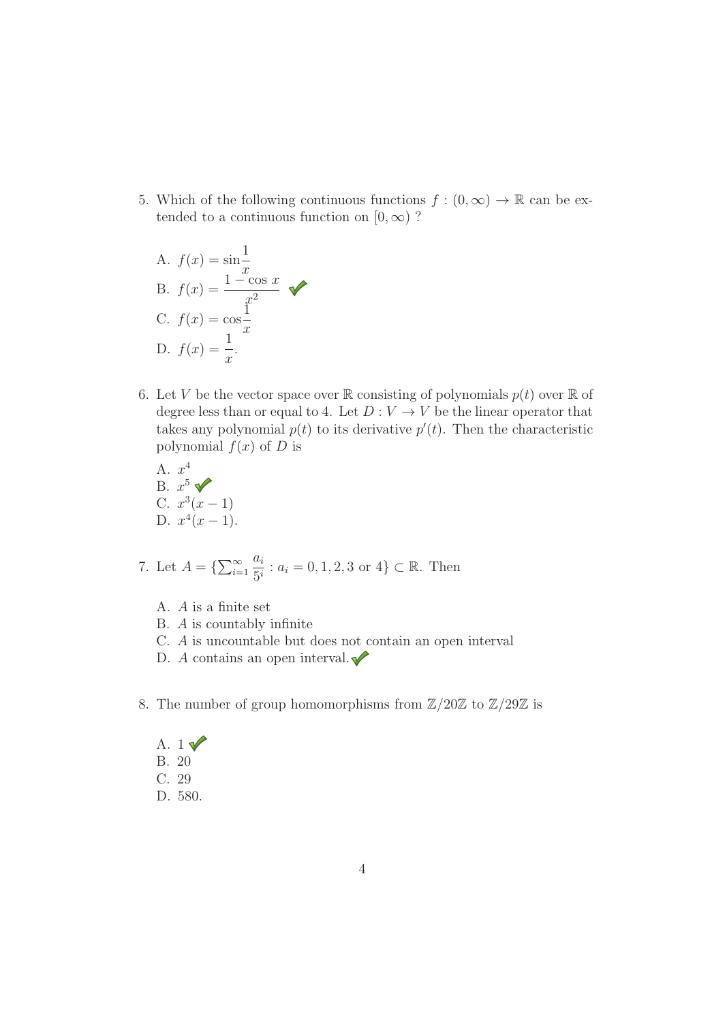5. Which of the following continuous functions  $f:(0,\infty) \to \mathbb{R}$  can be extended to a continuous function on  $[0, \infty)$ ?

A. 
$$
f(x) = \sin \frac{1}{x}
$$
  
\nB.  $f(x) = \frac{1 - \cos x}{x^2}$   
\nC.  $f(x) = \cos \frac{1}{x}$   
\nD.  $f(x) = \frac{1}{x}$ .

- 6. Let V be the vector space over  $\mathbb R$  consisting of polynomials  $p(t)$  over  $\mathbb R$  of degree less than or equal to 4. Let  $D: V \to V$  be the linear operator that takes any polynomial  $p(t)$  to its derivative  $p'(t)$ . Then the characteristic polynomial  $f(x)$  of D is
	- A.  $x^4$ B.  $x^5$   $\sqrt{ }$ C.  $x^3(x-1)$ D.  $x^4(x-1)$ .

7. Let 
$$
A = \{ \sum_{i=1}^{\infty} \frac{a_i}{5^i} : a_i = 0, 1, 2, 3 \text{ or } 4 \} \subset \mathbb{R}
$$
. Then

- A. A is a finite set
- B. A is countably infinite
- C. A is uncountable but does not contain an open interval
- D. A contains an open interval.  $\blacktriangleright$
- 8. The number of group homomorphisms from  $\mathbb{Z}/20\mathbb{Z}$  to  $\mathbb{Z}/29\mathbb{Z}$  is

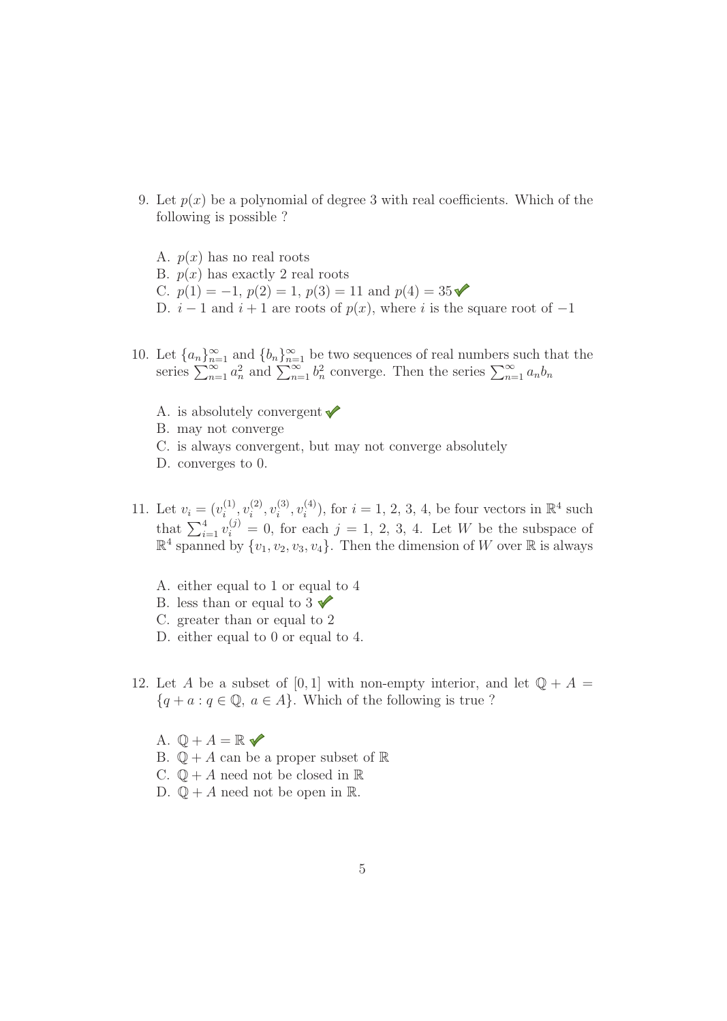- 9. Let  $p(x)$  be a polynomial of degree 3 with real coefficients. Which of the following is possible ?
	- A.  $p(x)$  has no real roots B.  $p(x)$  has exactly 2 real roots C.  $p(1) = -1$ ,  $p(2) = 1$ ,  $p(3) = 11$  and  $p(4) = 35$  <del>V</del> D.  $i-1$  and  $i+1$  are roots of  $p(x)$ , where i is the square root of  $-1$
- 10. Let  $\{a_n\}_{n=1}^{\infty}$  and  $\{b_n\}_{n=1}^{\infty}$  be two sequences of real numbers such that the series  $\sum_{n=1}^{\infty} a_n^2$  and  $\sum_{n=1}^{\infty} b_n^2$  converge. Then the series  $\sum_{n=1}^{\infty} a_n b_n$ 
	- A. is absolutely convergent  $\blacktriangledown$
	- B. may not converge
	- C. is always convergent, but may not converge absolutely
	- D. converges to 0.
- 11. Let  $v_i = (v_i^{(1)}, v_i^{(2)}, v_i^{(3)}, v_i^{(4)})$ , for  $i = 1, 2, 3, 4$ , be four vectors in  $\mathbb{R}^4$  such that  $\sum_{i=1}^4 v_i^{(j)} = 0$ , for each  $j = 1, 2, 3, 4$ . Let W be the subspace of  $\mathbb{R}^4$  spanned by  $\{v_1, v_2, v_3, v_4\}$ . Then the dimension of W over  $\mathbb R$  is always
	- A. either equal to 1 or equal to 4
	- B. less than or equal to 3
	- C. greater than or equal to 2
	- D. either equal to 0 or equal to 4.
- 12. Let A be a subset of [0, 1] with non-empty interior, and let  $\mathbb{Q} + A =$  ${q + a : q \in \mathbb{Q}, a \in A}$ . Which of the following is true ?
	- A.  $\mathbb{Q} + A = \mathbb{R}$   $\checkmark$
	- B.  $\mathbb{Q} + A$  can be a proper subset of  $\mathbb{R}$
	- C.  $\mathbb{Q} + A$  need not be closed in  $\mathbb{R}$
	- D.  $\mathbb{Q} + A$  need not be open in  $\mathbb{R}$ .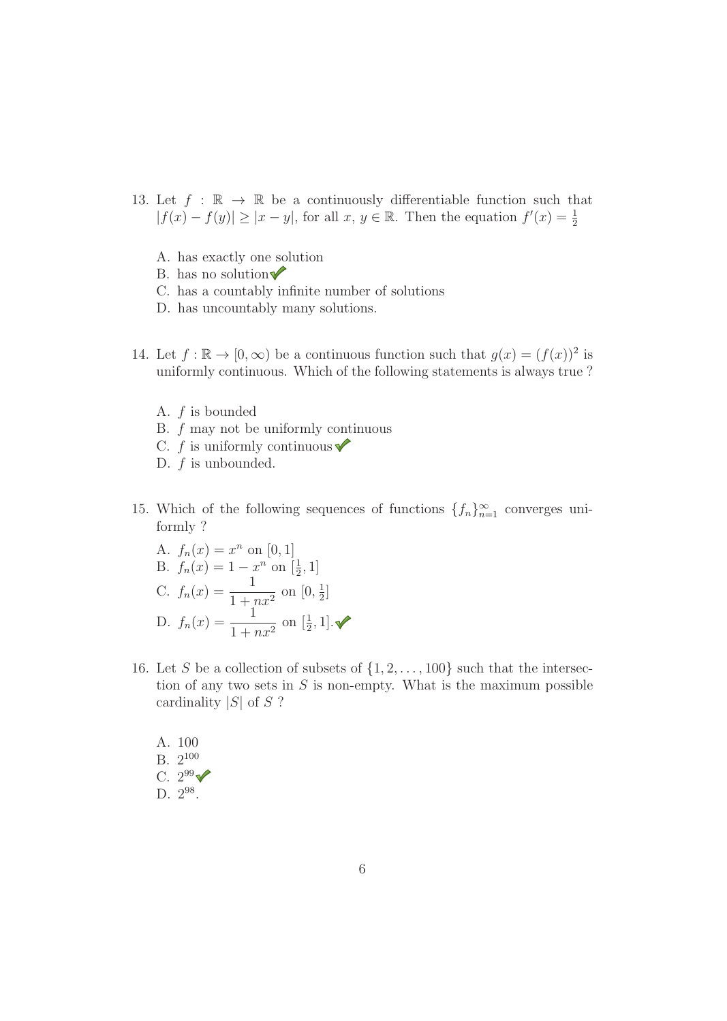- 13. Let  $f : \mathbb{R} \to \mathbb{R}$  be a continuously differentiable function such that  $|f(x) - f(y)| \ge |x - y|$ , for all  $x, y \in \mathbb{R}$ . Then the equation  $f'(x) = \frac{1}{2}$ 
	- A. has exactly one solution
	- B. has no solution  $\checkmark$
	- C. has a countably infinite number of solutions
	- D. has uncountably many solutions.
- 14. Let  $f : \mathbb{R} \to [0, \infty)$  be a continuous function such that  $g(x)=(f(x))^2$  is uniformly continuous. Which of the following statements is always true ?
	- A. f is bounded
	- B. f may not be uniformly continuous
	- C.  $f$  is uniformly continuous  $\blacktriangledown$
	- D.  $f$  is unbounded.
- 15. Which of the following sequences of functions  $\{f_n\}_{n=1}^{\infty}$  converges uniformly ?

A. 
$$
f_n(x) = x^n
$$
 on [0, 1]  
\nB.  $f_n(x) = 1 - x^n$  on  $\left[\frac{1}{2}, 1\right]$   
\nC.  $f_n(x) = \frac{1}{1 + nx^2}$  on  $\left[0, \frac{1}{2}\right]$   
\nD.  $f_n(x) = \frac{1}{1 + nx^2}$  on  $\left[\frac{1}{2}, 1\right]$ .

- 16. Let S be a collection of subsets of  $\{1, 2, \ldots, 100\}$  such that the intersection of any two sets in  $S$  is non-empty. What is the maximum possible cardinality  $|S|$  of S?
	- A. 100 B. 2<sup>100</sup> C.  $2^{99}$ D.  $2^{98}$ .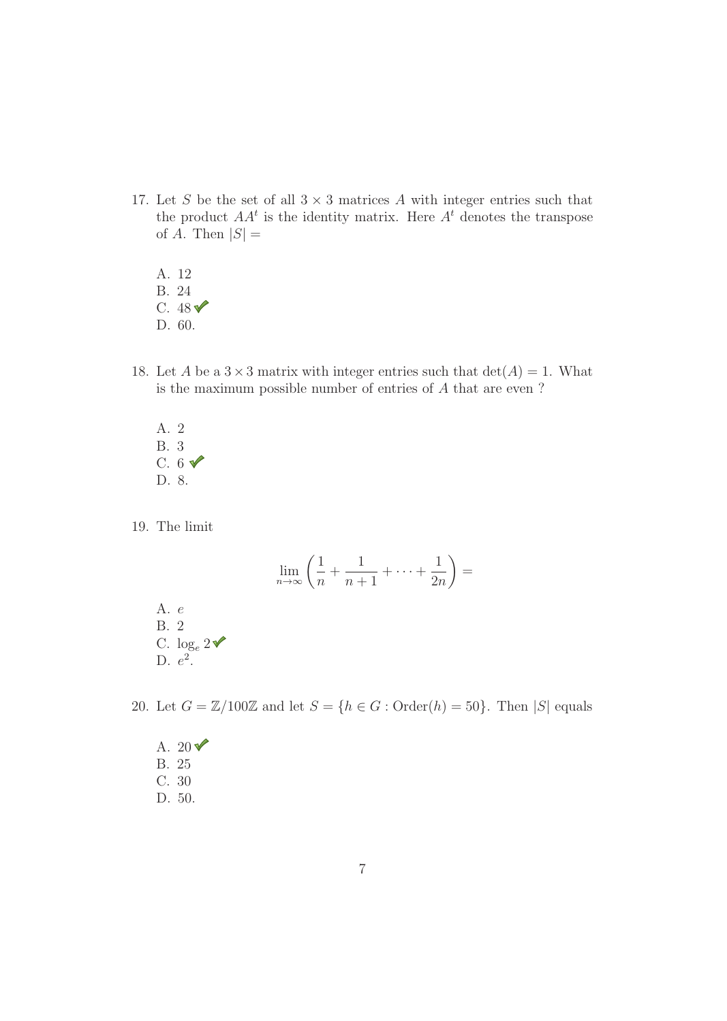- 17. Let S be the set of all  $3 \times 3$  matrices A with integer entries such that the product  $AA<sup>t</sup>$  is the identity matrix. Here  $A<sup>t</sup>$  denotes the transpose of A. Then  $|S|$  =
	- A. 12 B. 24 C.  $48\sqrt{ }$ D. 60.
- 18. Let A be a  $3 \times 3$  matrix with integer entries such that  $\det(A) = 1$ . What is the maximum possible number of entries of A that are even ?
	- A. 2 B. 3 C.  $6 \sqrt{ }$ D. 8.

19. The limit

 $B.$ 

$$
\lim_{n \to \infty} \left( \frac{1}{n} + \frac{1}{n+1} + \dots + \frac{1}{2n} \right) =
$$
  
A. e  
B. 2  
C.  $\log_e 2 \blacktriangleright$   
D.  $e^2$ .

20. Let  $G = \mathbb{Z}/100\mathbb{Z}$  and let  $S = \{h \in G : \text{Order}(h) = 50\}$ . Then |S| equals

A.  $20\sqrt{ }$ B. 25 C. 30 D. 50.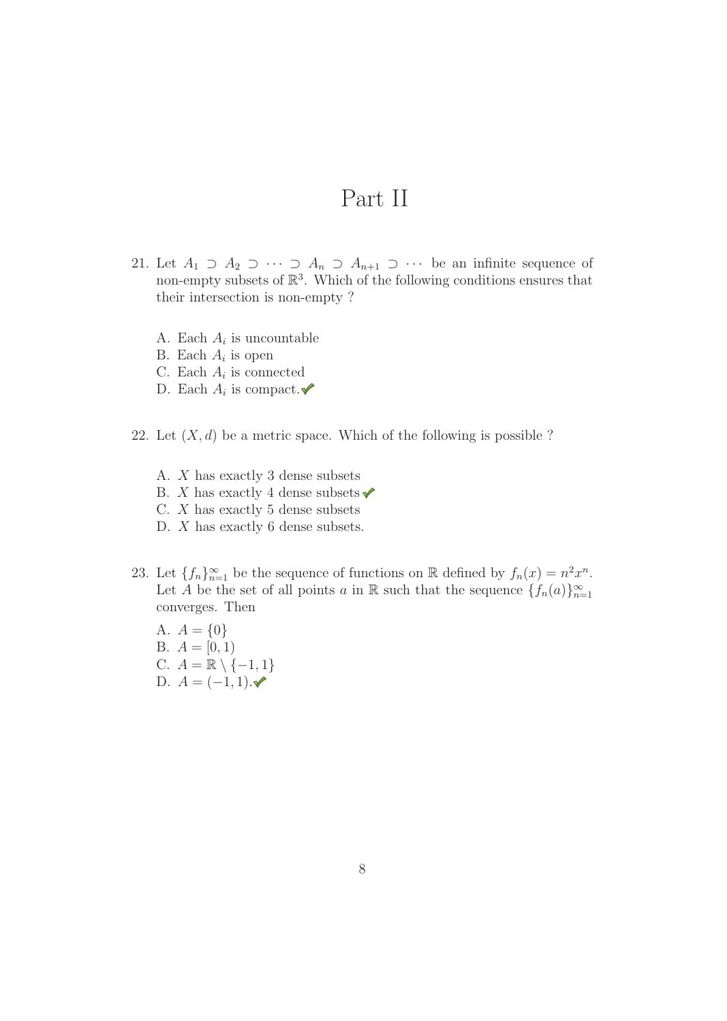## Part II

- 21. Let  $A_1 \supset A_2 \supset \cdots \supset A_n \supset A_{n+1} \supset \cdots$  be an infinite sequence of non-empty subsets of  $\mathbb{R}^3$ . Which of the following conditions ensures that their intersection is non-empty ?
	- A. Each  $A_i$  is uncountable
	- B. Each  $A_i$  is open
	- C. Each  $A_i$  is connected
	- D. Each  $A_i$  is compact.
- 22. Let  $(X, d)$  be a metric space. Which of the following is possible ?
	- A. X has exactly 3 dense subsets
	- B. X has exactly 4 dense subsets  $\checkmark$
	- C.  $X$  has exactly 5 dense subsets
	- D. X has exactly 6 dense subsets.
- 23. Let  $\{f_n\}_{n=1}^{\infty}$  be the sequence of functions on R defined by  $f_n(x) = n^2 x^n$ . Let A be the set of all points a in R such that the sequence  $\{f_n(a)\}_{n=1}^{\infty}$ converges. Then
	- A.  $A = \{0\}$ B.  $A = [0, 1)$ C.  $A = \mathbb{R} \setminus \{-1, 1\}$ D.  $A = (-1, 1)$ .  $\blacktriangleright$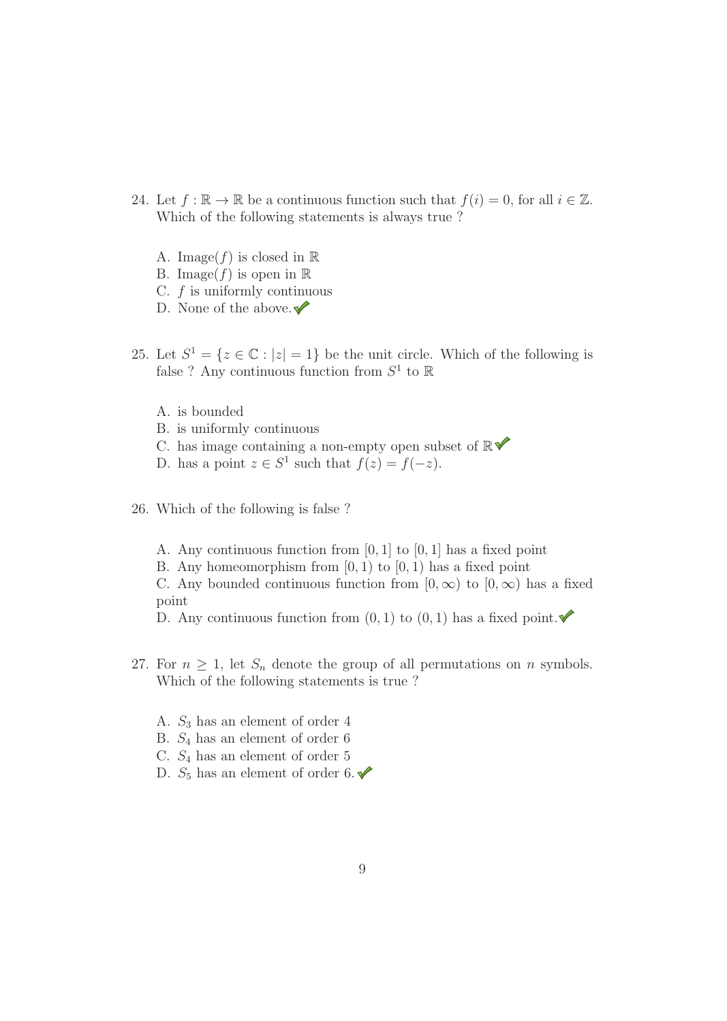- 24. Let  $f : \mathbb{R} \to \mathbb{R}$  be a continuous function such that  $f(i) = 0$ , for all  $i \in \mathbb{Z}$ . Which of the following statements is always true ?
	- A. Image( $f$ ) is closed in  $\mathbb R$
	- B. Image( $f$ ) is open in  $\mathbb R$
	- C. f is uniformly continuous
	- D. None of the above.  $\blacktriangledown$
- 25. Let  $S^1 = \{z \in \mathbb{C} : |z| = 1\}$  be the unit circle. Which of the following is false ? Any continuous function from  $S^1$  to  $\mathbb R$ 
	- A. is bounded
	- B. is uniformly continuous
	- C. has image containing a non-empty open subset of  $\mathbb{R}$   $\checkmark$
	- D. has a point  $z \in S^1$  such that  $f(z) = f(-z)$ .
- 26. Which of the following is false ?
	- A. Any continuous function from  $[0, 1]$  to  $[0, 1]$  has a fixed point
	- B. Any homeomorphism from  $[0, 1)$  to  $[0, 1)$  has a fixed point
	- C. Any bounded continuous function from  $[0, \infty)$  to  $[0, \infty)$  has a fixed point
	- D. Any continuous function from  $(0, 1)$  to  $(0, 1)$  has a fixed point.
- 27. For  $n \geq 1$ , let  $S_n$  denote the group of all permutations on n symbols. Which of the following statements is true ?
	- A.  $S_3$  has an element of order 4
	- B.  $S_4$  has an element of order 6
	- C.  $S_4$  has an element of order 5
	- D.  $S_5$  has an element of order 6.